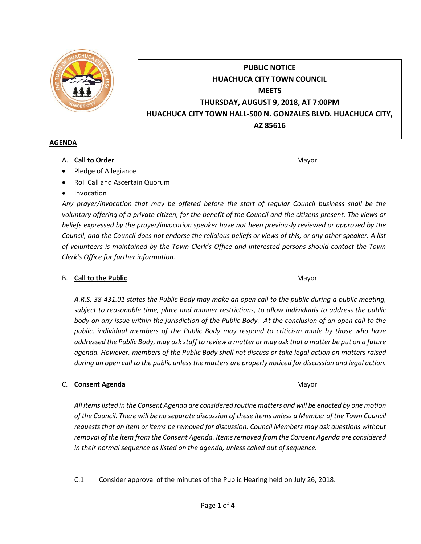

# **PUBLIC NOTICE HUACHUCA CITY TOWN COUNCIL MEETS THURSDAY, AUGUST 9, 2018, AT 7:00PM HUACHUCA CITY TOWN HALL-500 N. GONZALES BLVD. HUACHUCA CITY, AZ 85616**

## **AGENDA**

A. **Call to Order** Mayor **Mayor** Mayor **Mayor** Mayor **Mayor** 

- Pledge of Allegiance
- Roll Call and Ascertain Quorum
- Invocation

*Any prayer/invocation that may be offered before the start of regular Council business shall be the voluntary offering of a private citizen, for the benefit of the Council and the citizens present. The views or beliefs expressed by the prayer/invocation speaker have not been previously reviewed or approved by the Council, and the Council does not endorse the religious beliefs or views of this, or any other speaker. A list of volunteers is maintained by the Town Clerk's Office and interested persons should contact the Town Clerk's Office for further information.*

# B. **Call to the Public** Mayor **Mayor** Mayor **Mayor** Mayor

*A.R.S. 38-431.01 states the Public Body may make an open call to the public during a public meeting, subject to reasonable time, place and manner restrictions, to allow individuals to address the public body on any issue within the jurisdiction of the Public Body. At the conclusion of an open call to the public, individual members of the Public Body may respond to criticism made by those who have addressed the Public Body, may ask staff to review a matter or may ask that a matter be put on a future agenda. However, members of the Public Body shall not discuss or take legal action on matters raised during an open call to the public unless the matters are properly noticed for discussion and legal action.*

# C. **Consent Agenda** Mayor **C. Consent Agenda** Mayor **Mayor**

*All items listed in the Consent Agenda are considered routine matters and will be enacted by one motion of the Council. There will be no separate discussion of these items unless a Member of the Town Council requests that an item or items be removed for discussion. Council Members may ask questions without removal of the item from the Consent Agenda. Items removed from the Consent Agenda are considered in their normal sequence as listed on the agenda, unless called out of sequence.*

C.1 Consider approval of the minutes of the Public Hearing held on July 26, 2018.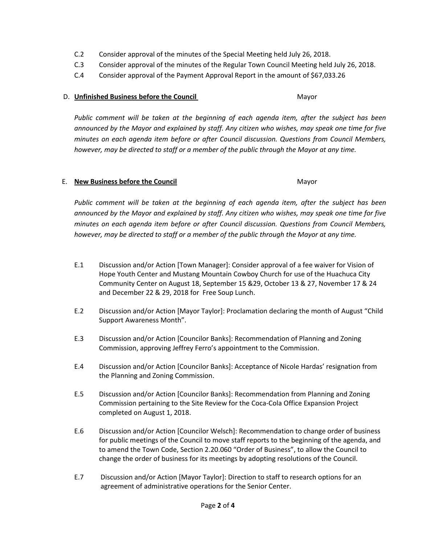- C.2 Consider approval of the minutes of the Special Meeting held July 26, 2018.
- C.3 Consider approval of the minutes of the Regular Town Council Meeting held July 26, 2018.
- C.4 Consider approval of the Payment Approval Report in the amount of \$67,033.26

## D. **Unfinished Business before the Council** Mayor

*Public comment will be taken at the beginning of each agenda item, after the subject has been announced by the Mayor and explained by staff. Any citizen who wishes, may speak one time for five minutes on each agenda item before or after Council discussion. Questions from Council Members, however, may be directed to staff or a member of the public through the Mayor at any time.*

## E. **New Business before the Council** Mayor

*Public comment will be taken at the beginning of each agenda item, after the subject has been announced by the Mayor and explained by staff. Any citizen who wishes, may speak one time for five minutes on each agenda item before or after Council discussion. Questions from Council Members, however, may be directed to staff or a member of the public through the Mayor at any time.*

- E.1 Discussion and/or Action [Town Manager]: Consider approval of a fee waiver for Vision of Hope Youth Center and Mustang Mountain Cowboy Church for use of the Huachuca City Community Center on August 18, September 15 &29, October 13 & 27, November 17 & 24 and December 22 & 29, 2018 for Free Soup Lunch.
- E.2 Discussion and/or Action [Mayor Taylor]: Proclamation declaring the month of August "Child Support Awareness Month".
- E.3 Discussion and/or Action [Councilor Banks]: Recommendation of Planning and Zoning Commission, approving Jeffrey Ferro's appointment to the Commission.
- E.4 Discussion and/or Action [Councilor Banks]: Acceptance of Nicole Hardas' resignation from the Planning and Zoning Commission.
- E.5 Discussion and/or Action [Councilor Banks]: Recommendation from Planning and Zoning Commission pertaining to the Site Review for the Coca-Cola Office Expansion Project completed on August 1, 2018.
- E.6 Discussion and/or Action [Councilor Welsch]: Recommendation to change order of business for public meetings of the Council to move staff reports to the beginning of the agenda, and to amend the Town Code, Section 2.20.060 "Order of Business", to allow the Council to change the order of business for its meetings by adopting resolutions of the Council.
- E.7 Discussion and/or Action [Mayor Taylor]: Direction to staff to research options for an agreement of administrative operations for the Senior Center.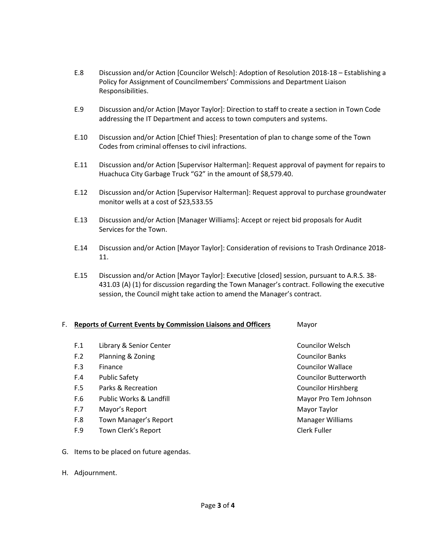- E.8 Discussion and/or Action [Councilor Welsch]: Adoption of Resolution 2018-18 Establishing a Policy for Assignment of Councilmembers' Commissions and Department Liaison Responsibilities.
- E.9 Discussion and/or Action [Mayor Taylor]: Direction to staff to create a section in Town Code addressing the IT Department and access to town computers and systems.
- E.10 Discussion and/or Action [Chief Thies]: Presentation of plan to change some of the Town Codes from criminal offenses to civil infractions.
- E.11 Discussion and/or Action [Supervisor Halterman]: Request approval of payment for repairs to Huachuca City Garbage Truck "G2" in the amount of \$8,579.40.
- E.12 Discussion and/or Action [Supervisor Halterman]: Request approval to purchase groundwater monitor wells at a cost of \$23,533.55
- E.13 Discussion and/or Action [Manager Williams]: Accept or reject bid proposals for Audit Services for the Town.
- E.14 Discussion and/or Action [Mayor Taylor]: Consideration of revisions to Trash Ordinance 2018- 11.
- E.15 Discussion and/or Action [Mayor Taylor]: Executive [closed] session, pursuant to A.R.S. 38- 431.03 (A) (1) for discussion regarding the Town Manager's contract. Following the executive session, the Council might take action to amend the Manager's contract.

#### F. **Reports of Current Events by Commission Liaisons and Officers** Mayor

| F.1 | Library & Senior Center | <b>Councilor Welsch</b>      |
|-----|-------------------------|------------------------------|
| F.2 | Planning & Zoning       | <b>Councilor Banks</b>       |
| F.3 | Finance                 | <b>Councilor Wallace</b>     |
| F.4 | <b>Public Safety</b>    | <b>Councilor Butterworth</b> |
| F.5 | Parks & Recreation      | Councilor Hirshberg          |
| F.6 | Public Works & Landfill | Mayor Pro Tem Johnson        |
| F.7 | Mayor's Report          | Mayor Taylor                 |
| F.8 | Town Manager's Report   | <b>Manager Williams</b>      |
| F.9 | Town Clerk's Report     | Clerk Fuller                 |

- G. Items to be placed on future agendas.
- H. Adjournment.